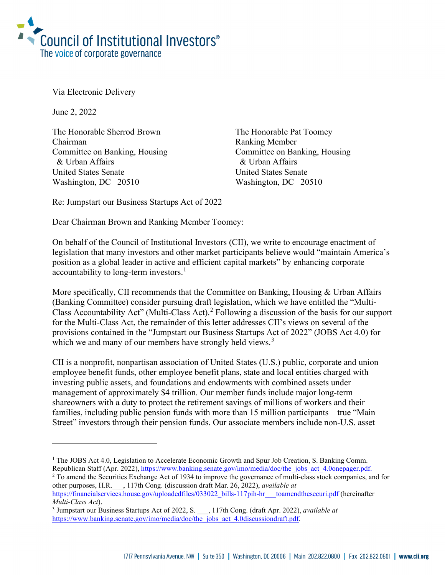

Via Electronic Delivery

June 2, 2022

The Honorable Sherrod Brown The Honorable Pat Toomey Chairman Ranking Member Committee on Banking, Housing Committee on Banking, Housing & Urban Affairs & Urban Affairs United States Senate United States Senate Washington, DC 20510 Washington, DC 20510

Re: Jumpstart our Business Startups Act of 2022

Dear Chairman Brown and Ranking Member Toomey:

On behalf of the Council of Institutional Investors (CII), we write to encourage enactment of legislation that many investors and other market participants believe would "maintain America's position as a global leader in active and efficient capital markets" by enhancing corporate accountability to long-term investors.<sup>[1](#page-0-0)</sup>

More specifically, CII recommends that the Committee on Banking, Housing & Urban Affairs (Banking Committee) consider pursuing draft legislation, which we have entitled the "Multi-Class Accountability Act" (Multi-Class Act).<sup>[2](#page-0-1)</sup> Following a discussion of the basis for our support for the Multi-Class Act, the remainder of this letter addresses CII's views on several of the provisions contained in the "Jumpstart our Business Startups Act of 2022" (JOBS Act 4.0) for which we and many of our members have strongly held views.<sup>[3](#page-0-2)</sup>

CII is a nonprofit, nonpartisan association of United States (U.S.) public, corporate and union employee benefit funds, other employee benefit plans, state and local entities charged with investing public assets, and foundations and endowments with combined assets under management of approximately \$4 trillion. Our member funds include major long-term shareowners with a duty to protect the retirement savings of millions of workers and their families, including public pension funds with more than 15 million participants – true "Main Street" investors through their pension funds. Our associate members include non-U.S. asset

<span id="page-0-0"></span><sup>&</sup>lt;sup>1</sup> The JOBS Act 4.0, Legislation to Accelerate Economic Growth and Spur Job Creation, S. Banking Comm. Republican Staff (Apr. 2022), [https://www.banking.senate.gov/imo/media/doc/the\\_jobs\\_act\\_4.0onepager.pdf.](https://www.banking.senate.gov/imo/media/doc/the_jobs_act_4.0onepager.pdf)

<span id="page-0-1"></span><sup>&</sup>lt;sup>2</sup> To amend the Securities Exchange Act of 1934 to improve the governance of multi-class stock companies, and for other purposes, H.R.\_\_\_, 117th Cong. (discussion draft Mar. 26, 2022), *available at*

https://financialservices.house.gov/uploadedfiles/033022\_bills-117pih-hr\_\_toamendthesecuri.pdf (hereinafter *Multi-Class Act*). 3 Jumpstart our Business Startups Act of 2022, S. \_\_\_, 117th Cong. (draft Apr. 2022), *available at*

<span id="page-0-2"></span>[https://www.banking.senate.gov/imo/media/doc/the\\_jobs\\_act\\_4.0discussiondraft.pdf.](https://www.banking.senate.gov/imo/media/doc/the_jobs_act_4.0discussiondraft.pdf)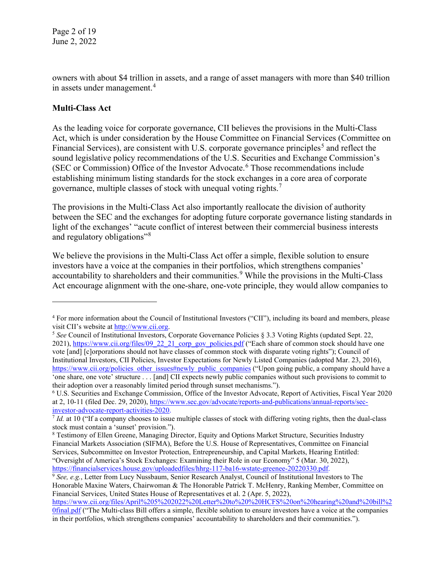owners with about \$4 trillion in assets, and a range of asset managers with more than \$40 trillion in assets under management.<sup>[4](#page-1-0)</sup>

# **Multi-Class Act**

As the leading voice for corporate governance, CII believes the provisions in the Multi-Class Act, which is under consideration by the House Committee on Financial Services (Committee on Financial Services), are consistent with U.S. corporate governance principles<sup>[5](#page-1-1)</sup> and reflect the sound legislative policy recommendations of the U.S. Securities and Exchange Commission's (SEC or Commission) Office of the Investor Advocate.<sup>[6](#page-1-2)</sup> Those recommendations include establishing minimum listing standards for the stock exchanges in a core area of corporate governance, multiple classes of stock with unequal voting rights.[7](#page-1-3)

The provisions in the Multi-Class Act also importantly reallocate the division of authority between the SEC and the exchanges for adopting future corporate governance listing standards in light of the exchanges' "acute conflict of interest between their commercial business interests and regulatory obligations"<sup>[8](#page-1-4)</sup>

We believe the provisions in the Multi-Class Act offer a simple, flexible solution to ensure investors have a voice at the companies in their portfolios, which strengthens companies' accountability to shareholders and their communities. [9](#page-1-5) While the provisions in the Multi-Class Act encourage alignment with the one-share, one-vote principle, they would allow companies to

<span id="page-1-0"></span><sup>&</sup>lt;sup>4</sup> For more information about the Council of Institutional Investors ("CII"), including its board and members, please visit CII's website at [http://www.cii.org.](http://www.cii.org/)

<span id="page-1-1"></span><sup>5</sup> *See* Council of Institutional Investors, Corporate Governance Policies § 3.3 Voting Rights (updated Sept. 22, 2021), [https://www.cii.org/files/09\\_22\\_21\\_corp\\_gov\\_policies.pdf](https://www.cii.org/files/09_22_21_corp_gov_policies.pdf) ("Each share of common stock should have one vote [and] [c]orporations should not have classes of common stock with disparate voting rights"); Council of Institutional Investors, CII Policies, Investor Expectations for Newly Listed Companies (adopted Mar. 23, 2016), [https://www.cii.org/policies\\_other\\_issues#newly\\_public\\_companies](https://www.cii.org/policies_other_issues#newly_public_companies) ("Upon going public, a company should have a 'one share, one vote' structure . . . [and] CII expects newly public companies without such provisions to commit to their adoption over a reasonably limited period through sunset mechanisms.").

<span id="page-1-2"></span><sup>6</sup> U.S. Securities and Exchange Commission, Office of the Investor Advocate, Report of Activities, Fiscal Year 2020 at 2, 10-11 (filed Dec. 29, 2020), [https://www.sec.gov/advocate/reports-and-publications/annual-reports/sec](https://www.sec.gov/advocate/reports-and-publications/annual-reports/sec-investor-advocate-report-activities-2020)[investor-advocate-report-activities-2020.](https://www.sec.gov/advocate/reports-and-publications/annual-reports/sec-investor-advocate-report-activities-2020)

<span id="page-1-3"></span><sup>7</sup> *Id.* at 10 ("If a company chooses to issue multiple classes of stock with differing voting rights, then the dual-class stock must contain a 'sunset' provision.").

<span id="page-1-4"></span><sup>8</sup> Testimony of Ellen Greene, Managing Director, Equity and Options Market Structure, Securities Industry Financial Markets Association (SIFMA), Before the U.S. House of Representatives, Committee on Financial Services, Subcommittee on Investor Protection, Entrepreneurship, and Capital Markets, Hearing Entitled: "Oversight of America's Stock Exchanges: Examining their Role in our Economy" 5 (Mar. 30, 2022), [https://financialservices.house.gov/uploadedfiles/hhrg-117-ba16-wstate-greenee-20220330.pdf.](https://financialservices.house.gov/uploadedfiles/hhrg-117-ba16-wstate-greenee-20220330.pdf) 9 *See, e.g.*, Letter from Lucy Nussbaum, Senior Research Analyst, Council of Institutional Investors to The

<span id="page-1-5"></span>Honorable Maxine Waters, Chairwoman & The Honorable Patrick T. McHenry, Ranking Member, Committee on Financial Services, United States House of Representatives et al. 2 (Apr. 5, 2022), [https://www.cii.org/files/April%205%202022%20Letter%20to%20%20HCFS%20on%20hearing%20and%20bill%2](https://www.cii.org/files/April%205%202022%20Letter%20to%20%20HCFS%20on%20hearing%20and%20bill%20final.pdf)

[<sup>0</sup>final.pdf](https://www.cii.org/files/April%205%202022%20Letter%20to%20%20HCFS%20on%20hearing%20and%20bill%20final.pdf) ("The Multi-class Bill offers a simple, flexible solution to ensure investors have a voice at the companies in their portfolios, which strengthens companies' accountability to shareholders and their communities.").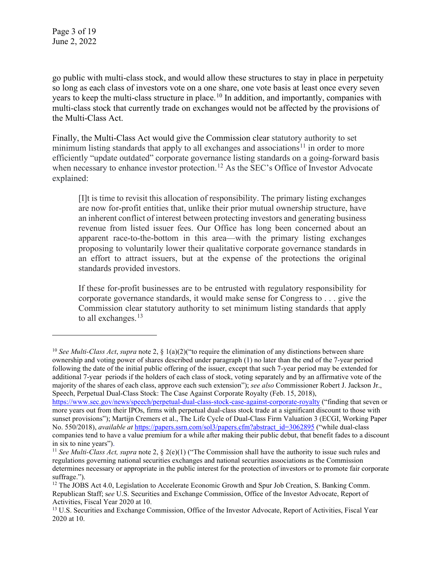go public with multi-class stock, and would allow these structures to stay in place in perpetuity so long as each class of investors vote on a one share, one vote basis at least once every seven years to keep the multi-class structure in place.<sup>[10](#page-2-0)</sup> In addition, and importantly, companies with multi-class stock that currently trade on exchanges would not be affected by the provisions of the Multi-Class Act.

Finally, the Multi-Class Act would give the Commission clear statutory authority to set minimum listing standards that apply to all exchanges and associations<sup>[11](#page-2-1)</sup> in order to more efficiently "update outdated" corporate governance listing standards on a going-forward basis when necessary to enhance investor protection.<sup>[12](#page-2-2)</sup> As the SEC's Office of Investor Advocate explained:

[I]t is time to revisit this allocation of responsibility. The primary listing exchanges are now for-profit entities that, unlike their prior mutual ownership structure, have an inherent conflict of interest between protecting investors and generating business revenue from listed issuer fees. Our Office has long been concerned about an apparent race-to-the-bottom in this area—with the primary listing exchanges proposing to voluntarily lower their qualitative corporate governance standards in an effort to attract issuers, but at the expense of the protections the original standards provided investors.

If these for-profit businesses are to be entrusted with regulatory responsibility for corporate governance standards, it would make sense for Congress to . . . give the Commission clear statutory authority to set minimum listing standards that apply to all exchanges.<sup>[13](#page-2-3)</sup>

<span id="page-2-0"></span><sup>10</sup> *See Multi-Class Act*, *supra* note 2, § 1(a)(2)("to require the elimination of any distinctions between share ownership and voting power of shares described under paragraph (1) no later than the end of the 7-year period following the date of the initial public offering of the issuer, except that such 7-year period may be extended for additional 7-year periods if the holders of each class of stock, voting separately and by an affirmative vote of the majority of the shares of each class, approve each such extension"); *see also* Commissioner Robert J. Jackson Jr., Speech, Perpetual Dual-Class Stock: The Case Against Corporate Royalty (Feb. 15, 2018),

<https://www.sec.gov/news/speech/perpetual-dual-class-stock-case-against-corporate-royalty> ("finding that seven or more years out from their IPOs, firms with perpetual dual-class stock trade at a significant discount to those with sunset provisions"); Martijn Cremers et al., The Life Cycle of Dual-Class Firm Valuation 3 (ECGI, Working Paper No. 550/2018), *available at* [https://papers.ssrn.com/sol3/papers.cfm?abstract\\_id=3062895](https://papers.ssrn.com/sol3/papers.cfm?abstract_id=3062895) ("while dual-class companies tend to have a value premium for a while after making their public debut, that benefit fades to a discount in six to nine years").

<span id="page-2-1"></span><sup>11</sup> *See Multi-Class Act, supra* note 2, § 2(e)(1) ("The Commission shall have the authority to issue such rules and regulations governing national securities exchanges and national securities associations as the Commission determines necessary or appropriate in the public interest for the protection of investors or to promote fair corporate suffrage.").

<span id="page-2-2"></span><sup>&</sup>lt;sup>12</sup> The JOBS Act 4.0, Legislation to Accelerate Economic Growth and Spur Job Creation, S. Banking Comm. Republican Staff; s*ee* U.S. Securities and Exchange Commission, Office of the Investor Advocate, Report of Activities, Fiscal Year 2020 at 10.

<span id="page-2-3"></span><sup>&</sup>lt;sup>13</sup> U.S. Securities and Exchange Commission, Office of the Investor Advocate, Report of Activities, Fiscal Year 2020 at 10.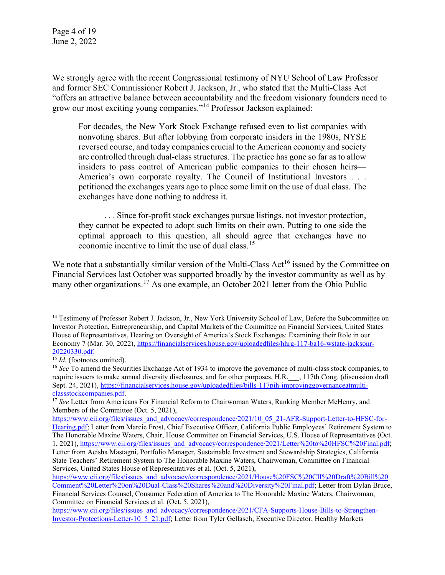Page 4 of 19 June 2, 2022

We strongly agree with the recent Congressional testimony of NYU School of Law Professor and former SEC Commissioner Robert J. Jackson, Jr., who stated that the Multi-Class Act "offers an attractive balance between accountability and the freedom visionary founders need to grow our most exciting young companies."[14](#page-3-0) Professor Jackson explained:

For decades, the New York Stock Exchange refused even to list companies with nonvoting shares. But after lobbying from corporate insiders in the 1980s, NYSE reversed course, and today companies crucial to the American economy and society are controlled through dual-class structures. The practice has gone so far as to allow insiders to pass control of American public companies to their chosen heirs— America's own corporate royalty. The Council of Institutional Investors . . . petitioned the exchanges years ago to place some limit on the use of dual class. The exchanges have done nothing to address it.

. . . Since for-profit stock exchanges pursue listings, not investor protection, they cannot be expected to adopt such limits on their own. Putting to one side the optimal approach to this question, all should agree that exchanges have no economic incentive to limit the use of dual class.<sup>[15](#page-3-1)</sup>

We note that a substantially similar version of the Multi-Class Act<sup>[16](#page-3-2)</sup> issued by the Committee on Financial Services last October was supported broadly by the investor community as well as by many other organizations.<sup>[17](#page-3-3)</sup> As one example, an October 2021 letter from the Ohio Public

<span id="page-3-0"></span><sup>&</sup>lt;sup>14</sup> Testimony of Professor Robert J. Jackson, Jr., New York University School of Law, Before the Subcommittee on Investor Protection, Entrepreneurship, and Capital Markets of the Committee on Financial Services, United States House of Representatives, Hearing on Oversight of America's Stock Exchanges: Examining their Role in our Economy 7 (Mar. 30, 2022)[, https://financialservices.house.gov/uploadedfiles/hhrg-117-ba16-wstate-jacksonr-](https://financialservices.house.gov/uploadedfiles/hhrg-117-ba16-wstate-jacksonr-20220330.pdf) $\frac{20220330.pdf}{15}$ <br> $15$  *Id.* (footnotes omitted).

<span id="page-3-2"></span><span id="page-3-1"></span><sup>&</sup>lt;sup>16</sup> *See* To amend the Securities Exchange Act of 1934 to improve the governance of multi-class stock companies, to require issuers to make annual diversity disclosures, and for other purposes, H.R.\_\_\_, 117th Cong. (discussion draft Sept. 24, 2021), https://financialservices.house.gov/uploadedfiles/bills-117pih-improvinggovernanceatmulti-classstockcompanies.pdf.

<span id="page-3-3"></span><sup>&</sup>lt;sup>17</sup> See Letter from Americans For Financial Reform to Chairwoman Waters, Ranking Member McHenry, and Members of the Committee (Oct. 5, 2021),

[https://www.cii.org/files/issues\\_and\\_advocacy/correspondence/2021/10\\_05\\_21-AFR-Support-Letter-to-HFSC-for-](https://www.cii.org/files/issues_and_advocacy/correspondence/2021/10_05_21-AFR-Support-Letter-to-HFSC-for-Hearing.pdf)[Hearing.pdf;](https://www.cii.org/files/issues_and_advocacy/correspondence/2021/10_05_21-AFR-Support-Letter-to-HFSC-for-Hearing.pdf) Letter from Marcie Frost, Chief Executive Officer, California Public Employees' Retirement System to The Honorable Maxine Waters, Chair, House Committee on Financial Services, U.S. House of Representatives (Oct. 1, 2021), [https://www.cii.org/files/issues\\_and\\_advocacy/correspondence/2021/Letter%20to%20HFSC%20Final.pdf;](https://www.cii.org/files/issues_and_advocacy/correspondence/2021/Letter%20to%20HFSC%20Final.pdf) Letter from Aeisha Mastagni, Portfolio Manager, Sustainable Investment and Stewardship Strategies, California State Teachers' Retirement System to The Honorable Maxine Waters, Chairwoman, Committee on Financial Services, United States House of Representatives et al. (Oct. 5, 2021),

[https://www.cii.org/files/issues\\_and\\_advocacy/correspondence/2021/House%20FSC%20CII%20Draft%20Bill%20](https://www.cii.org/files/issues_and_advocacy/correspondence/2021/House%20FSC%20CII%20Draft%20Bill%20Comment%20Letter%20on%20Dual-Class%20Shares%20and%20Diversity%20Final.pdf) [Comment%20Letter%20on%20Dual-Class%20Shares%20and%20Diversity%20Final.pdf;](https://www.cii.org/files/issues_and_advocacy/correspondence/2021/House%20FSC%20CII%20Draft%20Bill%20Comment%20Letter%20on%20Dual-Class%20Shares%20and%20Diversity%20Final.pdf) Letter from Dylan Bruce, Financial Services Counsel, Consumer Federation of America to The Honorable Maxine Waters, Chairwoman, Committee on Financial Services et al. (Oct. 5, 2021),

[https://www.cii.org/files/issues\\_and\\_advocacy/correspondence/2021/CFA-Supports-House-Bills-to-Strengthen-](https://www.cii.org/files/issues_and_advocacy/correspondence/2021/CFA-Supports-House-Bills-to-Strengthen-Investor-Protections-Letter-10_5_21.pdf)[Investor-Protections-Letter-10\\_5\\_21.pdf;](https://www.cii.org/files/issues_and_advocacy/correspondence/2021/CFA-Supports-House-Bills-to-Strengthen-Investor-Protections-Letter-10_5_21.pdf) Letter from Tyler Gellasch, Executive Director, Healthy Markets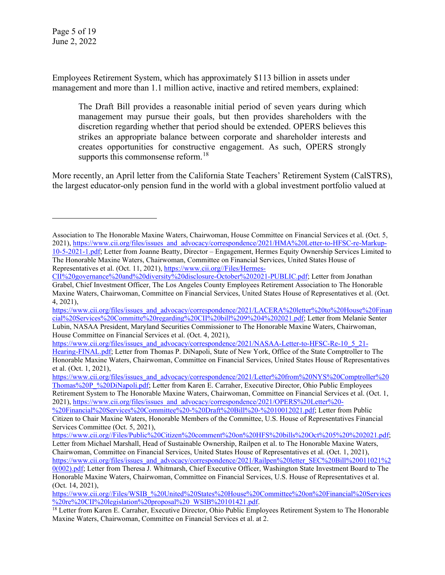Employees Retirement System, which has approximately \$113 billion in assets under management and more than 1.1 million active, inactive and retired members, explained:

The Draft Bill provides a reasonable initial period of seven years during which management may pursue their goals, but then provides shareholders with the discretion regarding whether that period should be extended. OPERS believes this strikes an appropriate balance between corporate and shareholder interests and creates opportunities for constructive engagement. As such, OPERS strongly supports this commonsense reform.<sup>[18](#page-4-0)</sup>

More recently, an April letter from the California State Teachers' Retirement System (CalSTRS), the largest educator-only pension fund in the world with a global investment portfolio valued at

[https://www.cii.org/files/issues\\_and\\_advocacy/correspondence/2021/Letter%20from%20NYS%20Comptroller%20](https://www.cii.org/files/issues_and_advocacy/correspondence/2021/Letter%20from%20NYS%20Comptroller%20Thomas%20P_%20DiNapoli.pdf) [Thomas%20P\\_%20DiNapoli.pdf;](https://www.cii.org/files/issues_and_advocacy/correspondence/2021/Letter%20from%20NYS%20Comptroller%20Thomas%20P_%20DiNapoli.pdf) Letter from Karen E. Carraher, Executive Director, Ohio Public Employees Retirement System to The Honorable Maxine Waters, Chairwoman, Committee on Financial Services et al. (Oct. 1, 2021), [https://www.cii.org/files/issues\\_and\\_advocacy/correspondence/2021/OPERS%20Letter%20-](https://www.cii.org/files/issues_and_advocacy/correspondence/2021/OPERS%20Letter%20-%20Financial%20Services%20Committee%20-%20Draft%20Bill%20-%2010012021.pdf)

[%20Financial%20Services%20Committee%20-%20Draft%20Bill%20-%2010012021.pdf;](https://www.cii.org/files/issues_and_advocacy/correspondence/2021/OPERS%20Letter%20-%20Financial%20Services%20Committee%20-%20Draft%20Bill%20-%2010012021.pdf) Letter from Public Citizen to Chair Maxine Waters, Honorable Members of the Committee, U.S. House of Representatives Financial Services Committee (Oct. 5, 2021),

Association to The Honorable Maxine Waters, Chairwoman, House Committee on Financial Services et al. (Oct. 5, 2021), [https://www.cii.org/files/issues\\_and\\_advocacy/correspondence/2021/HMA%20Letter-to-HFSC-re-Markup-](https://www.cii.org/files/issues_and_advocacy/correspondence/2021/HMA%20Letter-to-HFSC-re-Markup-10-5-2021-1.pdf)[10-5-2021-1.pdf;](https://www.cii.org/files/issues_and_advocacy/correspondence/2021/HMA%20Letter-to-HFSC-re-Markup-10-5-2021-1.pdf) Letter from Joanne Beatty, Director – Engagement, Hermes Equity Ownership Services Limited to

The Honorable Maxine Waters, Chairwoman, Committee on Financial Services, United States House of Representatives et al. (Oct. 11, 2021), [https://www.cii.org//Files/Hermes-](https://www.cii.org/Files/Hermes-CII%20governance%20and%20diversity%20disclosure-October%202021-PUBLIC.pdf)

[CII%20governance%20and%20diversity%20disclosure-October%202021-PUBLIC.pdf;](https://www.cii.org/Files/Hermes-CII%20governance%20and%20diversity%20disclosure-October%202021-PUBLIC.pdf) Letter from Jonathan Grabel, Chief Investment Officer, The Los Angeles County Employees Retirement Association to The Honorable Maxine Waters, Chairwoman, Committee on Financial Services, United States House of Representatives et al. (Oct. 4, 2021),

[https://www.cii.org/files/issues\\_and\\_advocacy/correspondence/2021/LACERA%20letter%20to%20House%20Finan](https://www.cii.org/files/issues_and_advocacy/correspondence/2021/LACERA%20letter%20to%20House%20Financial%20Services%20Committe%20regarding%20CII%20bill%209%204%202021.pdf) [cial%20Services%20Committe%20regarding%20CII%20bill%209%204%202021.pdf;](https://www.cii.org/files/issues_and_advocacy/correspondence/2021/LACERA%20letter%20to%20House%20Financial%20Services%20Committe%20regarding%20CII%20bill%209%204%202021.pdf) Letter from Melanie Senter Lubin, NASAA President, Maryland Securities Commissioner to The Honorable Maxine Waters, Chairwoman, House Committee on Financial Services et al. (Oct. 4, 2021),

[https://www.cii.org/files/issues\\_and\\_advocacy/correspondence/2021/NASAA-Letter-to-HFSC-Re-10\\_5\\_21-](https://www.cii.org/files/issues_and_advocacy/correspondence/2021/NASAA-Letter-to-HFSC-Re-10_5_21-Hearing-FINAL.pdf) [Hearing-FINAL.pdf;](https://www.cii.org/files/issues_and_advocacy/correspondence/2021/NASAA-Letter-to-HFSC-Re-10_5_21-Hearing-FINAL.pdf) Letter from Thomas P. DiNapoli, State of New York, Office of the State Comptroller to The Honorable Maxine Waters, Chairwoman, Committee on Financial Services, United States House of Representatives et al. (Oct. 1, 2021),

[https://www.cii.org//Files/Public%20Citizen%20comment%20on%20HFS%20bills%20Oct%205%20%202021.pdf;](https://www.cii.org/Files/Public%20Citizen%20comment%20on%20HFS%20bills%20Oct%205%20%202021.pdf) Letter from Michael Marshall, Head of Sustainable Ownership, Railpen et al. to The Honorable Maxine Waters, Chairwoman, Committee on Financial Services, United States House of Representatives et al. (Oct. 1, 2021), [https://www.cii.org/files/issues\\_and\\_advocacy/correspondence/2021/Railpen%20letter\\_SEC%20Bill%20011021%2](https://www.cii.org/files/issues_and_advocacy/correspondence/2021/Railpen%20letter_SEC%20Bill%20011021%20(002).pdf) [0\(002\).pdf;](https://www.cii.org/files/issues_and_advocacy/correspondence/2021/Railpen%20letter_SEC%20Bill%20011021%20(002).pdf) Letter from Theresa J. Whitmarsh, Chief Executive Officer, Washington State Investment Board to The Honorable Maxine Waters, Chairwoman, Committee on Financial Services, U.S. House of Representatives et al. (Oct. 14, 2021),

[https://www.cii.org//Files/WSIB\\_%20United%20States%20House%20Committee%20on%20Financial%20Services](https://www.cii.org/Files/WSIB_%20United%20States%20House%20Committee%20on%20Financial%20Services%20re%20CII%20legislation%20proposal%20_WSIB%20101421.pdf)<br>%20re%20CII%20legislation%20proposal%20\_WSIB%20101421.pdf.

<span id="page-4-0"></span><sup>&</sup>lt;sup>18</sup> Letter from Karen E. Carraher, Executive Director, Ohio Public Employees Retirement System to The Honorable Maxine Waters, Chairwoman, Committee on Financial Services et al. at 2.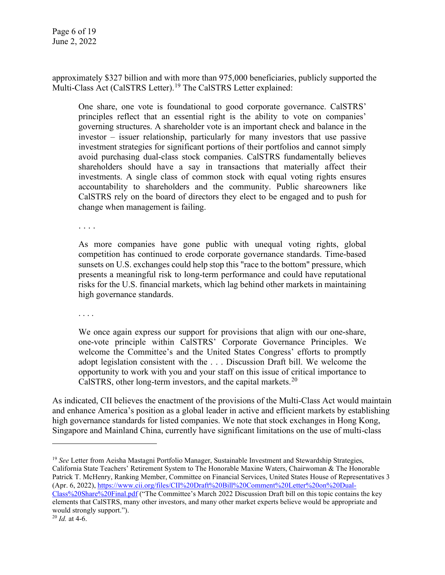approximately \$327 billion and with more than 975,000 beneficiaries, publicly supported the Multi-Class Act (CalSTRS Letter).<sup>[19](#page-5-0)</sup> The CalSTRS Letter explained:

One share, one vote is foundational to good corporate governance. CalSTRS' principles reflect that an essential right is the ability to vote on companies' governing structures. A shareholder vote is an important check and balance in the investor – issuer relationship, particularly for many investors that use passive investment strategies for significant portions of their portfolios and cannot simply avoid purchasing dual-class stock companies. CalSTRS fundamentally believes shareholders should have a say in transactions that materially affect their investments. A single class of common stock with equal voting rights ensures accountability to shareholders and the community. Public shareowners like CalSTRS rely on the board of directors they elect to be engaged and to push for change when management is failing.

. . . .

As more companies have gone public with unequal voting rights, global competition has continued to erode corporate governance standards. Time-based sunsets on U.S. exchanges could help stop this "race to the bottom" pressure, which presents a meaningful risk to long-term performance and could have reputational risks for the U.S. financial markets, which lag behind other markets in maintaining high governance standards.

. . . .

We once again express our support for provisions that align with our one-share, one-vote principle within CalSTRS' Corporate Governance Principles. We welcome the Committee's and the United States Congress' efforts to promptly adopt legislation consistent with the . . . Discussion Draft bill. We welcome the opportunity to work with you and your staff on this issue of critical importance to CalSTRS, other long-term investors, and the capital markets.<sup>[20](#page-5-1)</sup>

As indicated, CII believes the enactment of the provisions of the Multi-Class Act would maintain and enhance America's position as a global leader in active and efficient markets by establishing high governance standards for listed companies. We note that stock exchanges in Hong Kong, Singapore and Mainland China, currently have significant limitations on the use of multi-class

<span id="page-5-0"></span><sup>19</sup> *See* Letter from Aeisha Mastagni Portfolio Manager, Sustainable Investment and Stewardship Strategies, California State Teachers' Retirement System to The Honorable Maxine Waters, Chairwoman & The Honorable Patrick T. McHenry, Ranking Member, Committee on Financial Services, United States House of Representatives 3 (Apr. 6, 2022), [https://www.cii.org/files/CII%20Draft%20Bill%20Comment%20Letter%20on%20Dual-](https://www.cii.org/files/CII%20Draft%20Bill%20Comment%20Letter%20on%20Dual-Class%20Share%20Final.pdf)

[Class%20Share%20Final.pdf](https://www.cii.org/files/CII%20Draft%20Bill%20Comment%20Letter%20on%20Dual-Class%20Share%20Final.pdf) ("The Committee's March 2022 Discussion Draft bill on this topic contains the key elements that CalSTRS, many other investors, and many other market experts believe would be appropriate and would strongly support.").

<span id="page-5-1"></span><sup>20</sup> *Id.* at 4-6.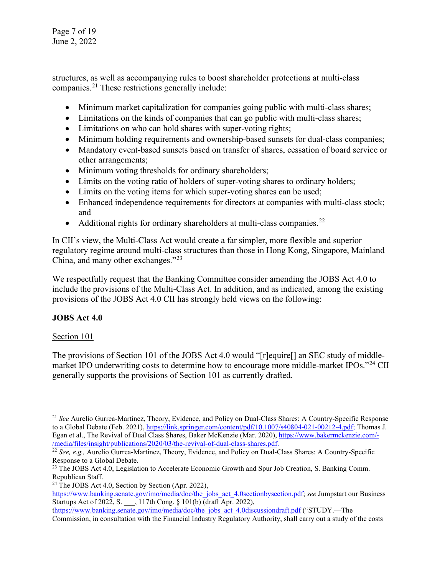Page 7 of 19 June 2, 2022

structures, as well as accompanying rules to boost shareholder protections at multi-class companies.[21](#page-6-0) These restrictions generally include:

- Minimum market capitalization for companies going public with multi-class shares;
- Limitations on the kinds of companies that can go public with multi-class shares;
- Limitations on who can hold shares with super-voting rights;
- Minimum holding requirements and ownership-based sunsets for dual-class companies;
- Mandatory event-based sunsets based on transfer of shares, cessation of board service or other arrangements;
- Minimum voting thresholds for ordinary shareholders;
- Limits on the voting ratio of holders of super-voting shares to ordinary holders;
- Limits on the voting items for which super-voting shares can be used;
- Enhanced independence requirements for directors at companies with multi-class stock; and
- Additional rights for ordinary shareholders at multi-class companies.<sup>[22](#page-6-1)</sup>

In CII's view, the Multi-Class Act would create a far simpler, more flexible and superior regulatory regime around multi-class structures than those in Hong Kong, Singapore, Mainland China, and many other exchanges."[23](#page-6-2)

We respectfully request that the Banking Committee consider amending the JOBS Act 4.0 to include the provisions of the Multi-Class Act. In addition, and as indicated, among the existing provisions of the JOBS Act 4.0 CII has strongly held views on the following:

# **JOBS Act 4.0**

# Section 101

The provisions of Section 101 of the JOBS Act 4.0 would "[r]equire[] an SEC study of middle-market IPO underwriting costs to determine how to encourage more middle-market IPOs."<sup>[24](#page-6-3)</sup> CII generally supports the provisions of Section 101 as currently drafted.

<span id="page-6-0"></span><sup>21</sup> *See* Aurelio Gurrea-Martinez, Theory, Evidence, and Policy on Dual-Class Shares: A Country-Specific Response to a Global Debate (Feb. 2021), [https://link.springer.com/content/pdf/10.1007/s40804-021-00212-4.pdf;](https://link.springer.com/content/pdf/10.1007/s40804-021-00212-4.pdf) Thomas J. Egan et al., The Revival of Dual Class Shares, Baker McKenzie (Mar. 2020)[, https://www.bakermckenzie.com/-](https://www.bakermckenzie.com/-/media/files/insight/publications/2020/03/the-revival-of-dual-class-shares.pdf) [/media/files/insight/publications/2020/03/the-revival-of-dual-class-shares.pdf.](https://www.bakermckenzie.com/-/media/files/insight/publications/2020/03/the-revival-of-dual-class-shares.pdf)

<span id="page-6-1"></span><sup>&</sup>lt;sup>22</sup> *See, e.g.,* Aurelio Gurrea-Martinez, Theory, Evidence, and Policy on Dual-Class Shares: A Country-Specific Response to a Global Debate.

<span id="page-6-2"></span><sup>&</sup>lt;sup>23</sup> The JOBS Act 4.0, Legislation to Accelerate Economic Growth and Spur Job Creation, S. Banking Comm. Republican Staff.

<span id="page-6-3"></span><sup>&</sup>lt;sup>24</sup> The JOBS Act 4.0, Section by Section (Apr. 2022),

https://www.banking.senate.gov/imo/media/doc/the<sup>jobs</sup> act 4.0sectionbysection.pdf; *see* Jumpstart our Business Startups Act of 2022, S. \_\_\_, 117th Cong. § 101(b) (draft Apr. 2022),

[thttps://www.banking.senate.gov/imo/media/doc/the\\_jobs\\_act\\_4.0discussiondraft.pdf](https://www.banking.senate.gov/imo/media/doc/the_jobs_act_4.0discussiondraft.pdf) ("STUDY.—The Commission, in consultation with the Financial Industry Regulatory Authority, shall carry out a study of the costs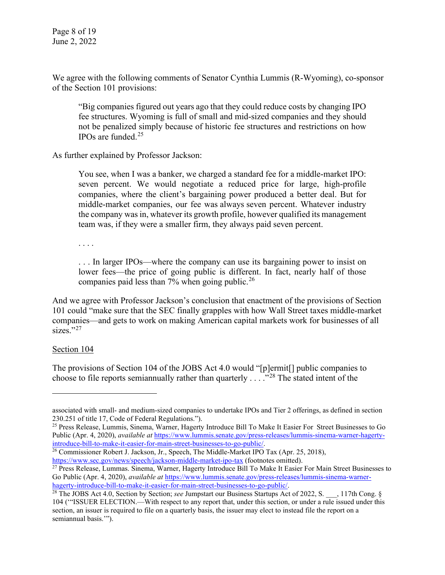We agree with the following comments of Senator Cynthia Lummis (R-Wyoming), co-sponsor of the Section 101 provisions:

"Big companies figured out years ago that they could reduce costs by changing IPO fee structures. Wyoming is full of small and mid-sized companies and they should not be penalized simply because of historic fee structures and restrictions on how IPOs are funded. [25](#page-7-0)

As further explained by Professor Jackson:

You see, when I was a banker, we charged a standard fee for a middle-market IPO: seven percent. We would negotiate a reduced price for large, high-profile companies, where the client's bargaining power produced a better deal. But for middle-market companies, our fee was always seven percent. Whatever industry the company was in, whatever its growth profile, however qualified its management team was, if they were a smaller firm, they always paid seven percent.

. . . .

. . . In larger IPOs—where the company can use its bargaining power to insist on lower fees—the price of going public is different. In fact, nearly half of those companies paid less than 7% when going public.<sup>[26](#page-7-1)</sup>

And we agree with Professor Jackson's conclusion that enactment of the provisions of Section 101 could "make sure that the SEC finally grapples with how Wall Street taxes middle-market companies—and gets to work on making American capital markets work for businesses of all  $sizes."^{27}$  $sizes."^{27}$  $sizes."^{27}$ 

#### Section 104

The provisions of Section 104 of the JOBS Act 4.0 would "[p]ermit[] public companies to choose to file reports semiannually rather than quarterly  $\ldots$  ."<sup>[28](#page-7-3)</sup> The stated intent of the

associated with small- and medium-sized companies to undertake IPOs and Tier 2 offerings, as defined in section 230.251 of title 17, Code of Federal Regulations.").

<span id="page-7-0"></span><sup>&</sup>lt;sup>25</sup> Press Release, Lummis, Sinema, Warner, Hagerty Introduce Bill To Make It Easier For Street Businesses to Go Public (Apr. 4, 2020), *available at* [https://www.lummis.senate.gov/press-releases/lummis-sinema-warner-hagerty-](https://www.lummis.senate.gov/press-releases/lummis-sinema-warner-hagerty-introduce-bill-to-make-it-easier-for-main-street-businesses-to-go-public/)

 $\frac{1}{26}$  Commissioner Robert J. Jackson, Jr., Speech, The Middle-Market IPO Tax (Apr. 25, 2018),

<span id="page-7-2"></span><span id="page-7-1"></span>https://www.sec.gov/news/speech/jackson-middle-market-ipo-tax (footnotes omitted).<br><sup>27</sup> Press Release, Lummas. Sinema, Warner, Hagerty Introduce Bill To Make It Easier For Main Street Businesses to Go Public (Apr. 4, 2020), *available at* [https://www.lummis.senate.gov/press-releases/lummis-sinema-warner-](https://www.lummis.senate.gov/press-releases/lummis-sinema-warner-hagerty-introduce-bill-to-make-it-easier-for-main-street-businesses-to-go-public/)

<span id="page-7-3"></span>[hagerty-introduce-bill-to-make-it-easier-for-main-street-businesses-to-go-public/.](https://www.lummis.senate.gov/press-releases/lummis-sinema-warner-hagerty-introduce-bill-to-make-it-easier-for-main-street-businesses-to-go-public/)<br><sup>28</sup> The JOBS Act 4.0, Section by Section; *see* Jumpstart our Business Startups Act of 2022, S. \_\_, 117th Cong. § 104 ('"ISSUER ELECTION.—With respect to any report that, under this section, or under a rule issued under this section, an issuer is required to file on a quarterly basis, the issuer may elect to instead file the report on a semiannual basis."").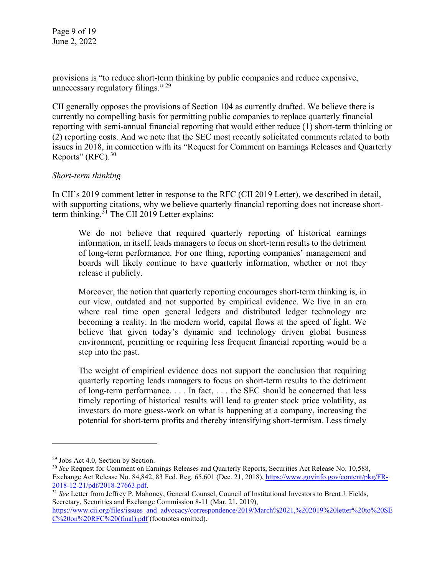Page 9 of 19 June 2, 2022

provisions is "to reduce short-term thinking by public companies and reduce expensive, unnecessary regulatory filings."<sup>[29](#page-8-0)</sup>

CII generally opposes the provisions of Section 104 as currently drafted. We believe there is currently no compelling basis for permitting public companies to replace quarterly financial reporting with semi-annual financial reporting that would either reduce (1) short-term thinking or (2) reporting costs. And we note that the SEC most recently solicitated comments related to both issues in 2018, in connection with its "Request for Comment on Earnings Releases and Quarterly Reports" (RFC).<sup>[30](#page-8-1)</sup>

# *Short-term thinking*

In CII's 2019 comment letter in response to the RFC (CII 2019 Letter), we described in detail, with supporting citations, why we believe quarterly financial reporting does not increase short-term thinking.<sup>[31](#page-8-2)</sup> The CII 2019 Letter explains:

We do not believe that required quarterly reporting of historical earnings information, in itself, leads managers to focus on short-term results to the detriment of long-term performance. For one thing, reporting companies' management and boards will likely continue to have quarterly information, whether or not they release it publicly.

Moreover, the notion that quarterly reporting encourages short-term thinking is, in our view, outdated and not supported by empirical evidence. We live in an era where real time open general ledgers and distributed ledger technology are becoming a reality. In the modern world, capital flows at the speed of light. We believe that given today's dynamic and technology driven global business environment, permitting or requiring less frequent financial reporting would be a step into the past.

The weight of empirical evidence does not support the conclusion that requiring quarterly reporting leads managers to focus on short-term results to the detriment of long-term performance. . . . In fact, . . . the SEC should be concerned that less timely reporting of historical results will lead to greater stock price volatility, as investors do more guess-work on what is happening at a company, increasing the potential for short-term profits and thereby intensifying short-termism. Less timely

<span id="page-8-0"></span><sup>&</sup>lt;sup>29</sup> Jobs Act 4.0, Section by Section.

<span id="page-8-1"></span><sup>30</sup> *See* Request for Comment on Earnings Releases and Quarterly Reports, Securities Act Release No. 10,588, Exchange Act Release No. 84,842, 83 Fed. Reg. 65,601 (Dec. 21, 2018)[, https://www.govinfo.gov/content/pkg/FR-](https://www.govinfo.gov/content/pkg/FR-2018-12-21/pdf/2018-27663.pdf)[2018-12-21/pdf/2018-27663.pdf.](https://www.govinfo.gov/content/pkg/FR-2018-12-21/pdf/2018-27663.pdf) 31 *See* Letter from Jeffrey P. Mahoney, General Counsel, Council of Institutional Investors to Brent J. Fields,

<span id="page-8-2"></span>Secretary, Securities and Exchange Commission 8-11 (Mar. 21, 2019),

[https://www.cii.org/files/issues\\_and\\_advocacy/correspondence/2019/March%2021,%202019%20letter%20to%20SE](https://www.cii.org/files/issues_and_advocacy/correspondence/2019/March%2021,%202019%20letter%20to%20SEC%20on%20RFC%20(final).pdf) [C%20on%20RFC%20\(final\).pdf](https://www.cii.org/files/issues_and_advocacy/correspondence/2019/March%2021,%202019%20letter%20to%20SEC%20on%20RFC%20(final).pdf) (footnotes omitted).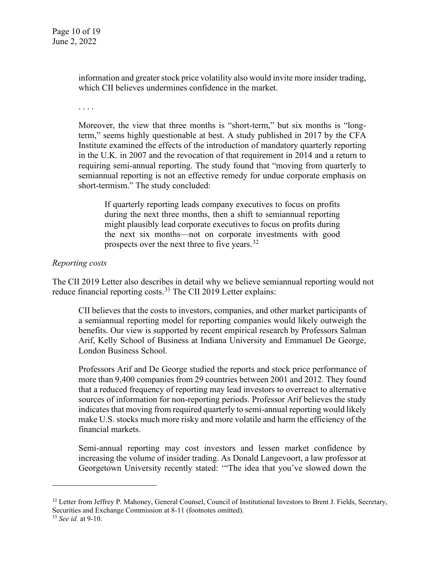information and greater stock price volatility also would invite more insider trading, which CII believes undermines confidence in the market.

. . . .

Moreover, the view that three months is "short-term," but six months is "longterm," seems highly questionable at best. A study published in 2017 by the CFA Institute examined the effects of the introduction of mandatory quarterly reporting in the U.K. in 2007 and the revocation of that requirement in 2014 and a return to requiring semi-annual reporting. The study found that "moving from quarterly to semiannual reporting is not an effective remedy for undue corporate emphasis on short-termism." The study concluded:

If quarterly reporting leads company executives to focus on profits during the next three months, then a shift to semiannual reporting might plausibly lead corporate executives to focus on profits during the next six months—not on corporate investments with good prospects over the next three to five years.<sup>[32](#page-9-0)</sup>

# *Reporting costs*

The CII 2019 Letter also describes in detail why we believe semiannual reporting would not reduce financial reporting costs.<sup>[33](#page-9-1)</sup> The CII 2019 Letter explains:

CII believes that the costs to investors, companies, and other market participants of a semiannual reporting model for reporting companies would likely outweigh the benefits. Our view is supported by recent empirical research by Professors Salman Arif, Kelly School of Business at Indiana University and Emmanuel De George, London Business School.

Professors Arif and De George studied the reports and stock price performance of more than 9,400 companies from 29 countries between 2001 and 2012. They found that a reduced frequency of reporting may lead investors to overreact to alternative sources of information for non-reporting periods. Professor Arif believes the study indicates that moving from required quarterly to semi-annual reporting would likely make U.S. stocks much more risky and more volatile and harm the efficiency of the financial markets.

Semi-annual reporting may cost investors and lessen market confidence by increasing the volume of insider trading. As Donald Langevoort, a law professor at Georgetown University recently stated: '"The idea that you've slowed down the

<span id="page-9-0"></span><sup>&</sup>lt;sup>32</sup> Letter from Jeffrey P. Mahoney, General Counsel, Council of Institutional Investors to Brent J. Fields, Secretary, Securities and Exchange Commission at 8-11 (footnotes omitted). 33 *See id.* at 9-10.

<span id="page-9-1"></span>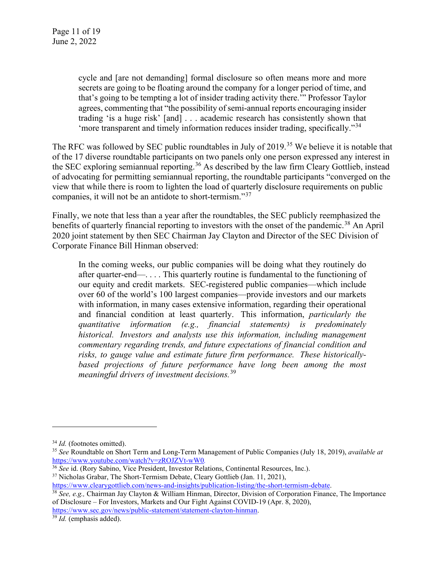cycle and [are not demanding] formal disclosure so often means more and more secrets are going to be floating around the company for a longer period of time, and that's going to be tempting a lot of insider trading activity there.'" Professor Taylor agrees, commenting that "the possibility of semi-annual reports encouraging insider trading 'is a huge risk' [and] . . . academic research has consistently shown that 'more transparent and timely information reduces insider trading, specifically."<sup>[34](#page-10-0)</sup>

The RFC was followed by SEC public roundtables in July of 2019.<sup>[35](#page-10-1)</sup> We believe it is notable that of the 17 diverse roundtable participants on two panels only one person expressed any interest in the SEC exploring semiannual reporting.<sup>[36](#page-10-2)</sup> As described by the law firm Cleary Gottlieb, instead of advocating for permitting semiannual reporting, the roundtable participants "converged on the view that while there is room to lighten the load of quarterly disclosure requirements on public companies, it will not be an antidote to short-termism."[37](#page-10-3)

Finally, we note that less than a year after the roundtables, the SEC publicly reemphasized the benefits of quarterly financial reporting to investors with the onset of the pandemic.<sup>[38](#page-10-4)</sup> An April 2020 joint statement by then SEC Chairman Jay Clayton and Director of the SEC Division of Corporate Finance Bill Hinman observed:

In the coming weeks, our public companies will be doing what they routinely do after quarter-end—. . . . This quarterly routine is fundamental to the functioning of our equity and credit markets. SEC-registered public companies—which include over 60 of the world's 100 largest companies—provide investors and our markets with information, in many cases extensive information, regarding their operational and financial condition at least quarterly. This information, *particularly the quantitative information (e.g., financial statements) is predominately historical. Investors and analysts use this information, including management commentary regarding trends, and future expectations of financial condition and risks, to gauge value and estimate future firm performance. These historically*based projections of future performance have long been among the most *meaningful drivers of investment decisions.*[39](#page-10-5)

<span id="page-10-5"></span>[https://www.sec.gov/news/public-statement/statement-clayton-hinman.](https://www.sec.gov/news/public-statement/statement-clayton-hinman) 39 *Id.* (emphasis added).

<span id="page-10-1"></span><span id="page-10-0"></span><sup>34</sup> *Id.* (footnotes omitted). 35 *See* Roundtable on Short Term and Long-Term Management of Public Companies (July 18, 2019), *available at* <https://www.youtube.com/watch?v=zROJZVt-wW0>.<br><sup>36</sup> See id. (Rory Sabino, Vice President, Investor Relations, Continental Resources, Inc.).

<span id="page-10-3"></span><span id="page-10-2"></span><sup>&</sup>lt;sup>37</sup> Nicholas Grabar, The Short-Termism Debate, Cleary Gottlieb (Jan. 11, 2021),

[https://www.clearygottlieb.com/news-and-insights/publication-listing/the-short-termism-debate.](https://www.clearygottlieb.com/news-and-insights/publication-listing/the-short-termism-debate)

<span id="page-10-4"></span><sup>38</sup> *See, e.g.,* Chairman Jay Clayton & William Hinman, Director, Division of Corporation Finance, The Importance of Disclosure – For Investors, Markets and Our Fight Against COVID-19 (Apr. 8, 2020),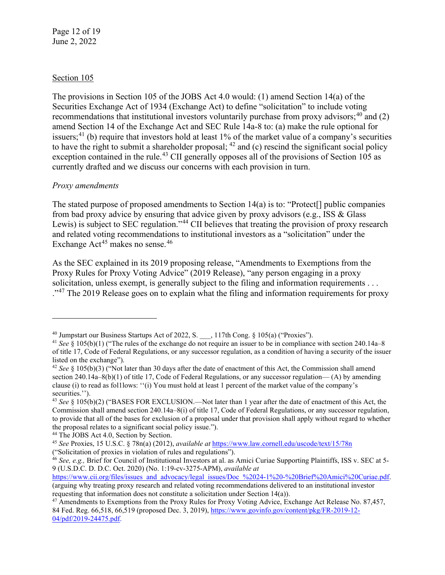Page 12 of 19 June 2, 2022

### Section 105

The provisions in Section 105 of the JOBS Act 4.0 would: (1) amend Section 14(a) of the Securities Exchange Act of 1934 (Exchange Act) to define "solicitation" to include voting recommendations that institutional investors voluntarily purchase from proxy advisors;  $40^{\circ}$  $40^{\circ}$  and (2) amend Section 14 of the Exchange Act and SEC Rule 14a-8 to: (a) make the rule optional for issuers;<sup>[41](#page-11-1)</sup> (b) require that investors hold at least 1% of the market value of a company's securities to have the right to submit a shareholder proposal;  $42$  and (c) rescind the significant social policy exception contained in the rule.<sup>[43](#page-11-3)</sup> CII generally opposes all of the provisions of Section 105 as currently drafted and we discuss our concerns with each provision in turn.

# *Proxy amendments*

The stated purpose of proposed amendments to Section 14(a) is to: "Protect[] public companies from bad proxy advice by ensuring that advice given by proxy advisors (e.g., ISS & Glass Lewis) is subject to SEC regulation."<sup>[44](#page-11-4)</sup> CII believes that treating the provision of proxy research and related voting recommendations to institutional investors as a "solicitation" under the Exchange Act<sup>[45](#page-11-5)</sup> makes no sense.<sup>[46](#page-11-6)</sup>

As the SEC explained in its [2019 proposing release,](https://www.sec.gov/rules/proposed/2019/34-87457.pdf) "Amendments to Exemptions from the Proxy Rules for Proxy Voting Advice" (2019 Release), "any person engaging in a proxy solicitation, unless exempt, is generally subject to the filing and information requirements . . . <sup>.,[47](#page-11-7)</sup> The 2019 Release goes on to explain what the filing and information requirements for proxy

<span id="page-11-0"></span><sup>&</sup>lt;sup>40</sup> Jumpstart our Business Startups Act of 2022, S. \_\_\_, 117th Cong. § 105(a) ("Proxies").

<span id="page-11-1"></span><sup>&</sup>lt;sup>41</sup> *See* § 105(b)(1) ("The rules of the exchange do not require an issuer to be in compliance with section 240.14a–8 of title 17, Code of Federal Regulations, or any successor regulation, as a condition of having a security of the issuer listed on the exchange").

<span id="page-11-2"></span><sup>42</sup> *See* § 105(b)(3) ("Not later than 30 days after the date of enactment of this Act, the Commission shall amend section 240.14a–8(b)(1) of title 17, Code of Federal Regulations, or any successor regulation— (A) by amending clause (i) to read as fol1lows: ''(i) You must hold at least 1 percent of the market value of the company's securities.'').

<span id="page-11-3"></span><sup>43</sup> *See* § 105(b)(2) ("BASES FOR EXCLUSION.—Not later than 1 year after the date of enactment of this Act, the Commission shall amend section 240.14a–8(i) of title 17, Code of Federal Regulations, or any successor regulation, to provide that all of the bases for exclusion of a proposal under that provision shall apply without regard to whether the proposal relates to a significant social policy issue.").

<span id="page-11-4"></span><sup>&</sup>lt;sup>44</sup> The JOBS Act 4.0, Section by Section.

<span id="page-11-5"></span><sup>45</sup> *See* Proxies, 15 U.S.C. § 78n(a) (2012), *available at* <https://www.law.cornell.edu/uscode/text/15/78n> ("Solicitation of proxies in violation of rules and regulations").

<span id="page-11-6"></span><sup>46</sup> *See, e.g.,* Brief for Council of Institutional Investors at al. as Amici Curiae Supporting Plaintiffs, ISS v. SEC at 5- 9 (U.S.D.C. D. D.C. Oct. 2020) (No. 1:19-cv-3275-APM), *available at*

[https://www.cii.org/files/issues\\_and\\_advocacy/legal\\_issues/Doc\\_%2024-1%20-%20Brief%20Amici%20Curiae.pdf.](https://www.cii.org/files/issues_and_advocacy/legal_issues/Doc_%2024-1%20-%20Brief%20Amici%20Curiae.pdf) (arguing why treating proxy research and related voting recommendations delivered to an institutional investor

<span id="page-11-7"></span>requesting that information does not constitute a solicitation under Section 14(a)). <sup>47</sup> Amendments to Exemptions from the Proxy Rules for Proxy Voting Advice, Exchange Act Release No. 87,457,

<sup>84</sup> Fed. Reg. 66,518, 66,519 (proposed Dec. 3, 2019), [https://www.govinfo.gov/content/pkg/FR-2019-12-](https://www.govinfo.gov/content/pkg/FR-2019-12-04/pdf/2019-24475.pdf) [04/pdf/2019-24475.pdf.](https://www.govinfo.gov/content/pkg/FR-2019-12-04/pdf/2019-24475.pdf)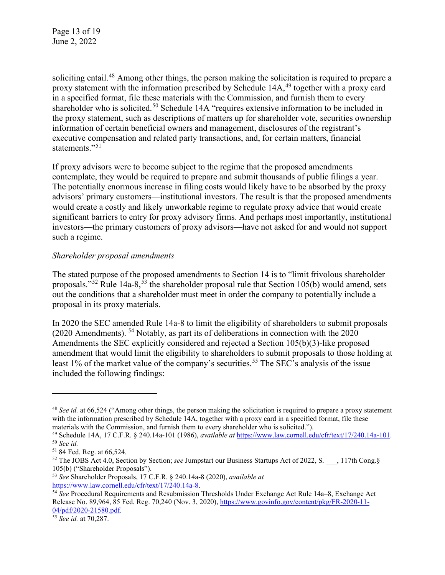soliciting entail.<sup>[48](#page-12-0)</sup> Among other things, the person making the solicitation is required to prepare a proxy statement with the information prescribed by Schedule 14A,<sup>[49](#page-12-1)</sup> together with a proxy card in a specified format, file these materials with the Commission, and furnish them to every shareholder who is solicited.<sup>[50](#page-12-2)</sup> Schedule 14A "requires extensive information to be included in the proxy statement, such as descriptions of matters up for shareholder vote, securities ownership information of certain beneficial owners and management, disclosures of the registrant's executive compensation and related party transactions, and, for certain matters, financial statements."<sup>[51](#page-12-3)</sup>

If proxy advisors were to become subject to the regime that the proposed amendments contemplate, they would be required to prepare and submit thousands of public filings a year. The potentially enormous increase in filing costs would likely have to be absorbed by the proxy advisors' primary customers—institutional investors. The result is that the proposed amendments would create a costly and likely unworkable regime to regulate proxy advice that would create significant barriers to entry for proxy advisory firms. And perhaps most importantly, institutional investors—the primary customers of proxy advisors—have not asked for and would not support such a regime.

# *Shareholder proposal amendments*

The stated purpose of the proposed amendments to Section 14 is to "limit frivolous shareholder proposals."<sup>[52](#page-12-4)</sup> Rule 14a-8,<sup>[53](#page-12-5)</sup> the shareholder proposal rule that Section 105(b) would amend, sets out the conditions that a shareholder must meet in order the company to potentially include a proposal in its proxy materials.

In 2020 the SEC amended Rule 14a-8 to limit the eligibility of shareholders to submit proposals (2020 Amendments). [54](#page-12-6) Notably, as part its of deliberations in connection with the 2020 Amendments the SEC explicitly considered and rejected a Section 105(b)(3)-like proposed amendment that would limit the eligibility to shareholders to submit proposals to those holding at least 1% of the market value of the company's securities.<sup>[55](#page-12-7)</sup> The SEC's analysis of the issue included the following findings:

<span id="page-12-0"></span><sup>48</sup> *See id.* at 66,524 ("Among other things, the person making the solicitation is required to prepare a proxy statement with the information prescribed by Schedule 14A, together with a proxy card in a specified format, file these materials with the Commission, and furnish them to every shareholder who is solicited.").

<span id="page-12-2"></span><span id="page-12-1"></span><sup>49</sup> Schedule 14A, 17 C.F.R. § 240.14a-101 (1986), *available at* [https://www.law.cornell.edu/cfr/text/17/240.14a-101.](https://www.law.cornell.edu/cfr/text/17/240.14a-101) 50 *See id.*

<span id="page-12-4"></span><span id="page-12-3"></span><sup>&</sup>lt;sup>52</sup> The JOBS Act 4.0, Section by Section; *see* Jumpstart our Business Startups Act of 2022, S. \_\_, 117th Cong.§ 105(b) ("Shareholder Proposals"). 53 *See* Shareholder Proposals, 17 C.F.R. § 240.14a-8 (2020), *available at*

<span id="page-12-6"></span><span id="page-12-5"></span>[https://www.law.cornell.edu/cfr/text/17/240.14a-8.](https://www.law.cornell.edu/cfr/text/17/240.14a-8) 54 *See* Procedural Requirements and Resubmission Thresholds Under Exchange Act Rule 14a–8, Exchange Act Release No. 89,964, 85 Fed. Reg. 70,240 (Nov. 3, 2020), [https://www.govinfo.gov/content/pkg/FR-2020-11-](https://www.govinfo.gov/content/pkg/FR-2020-11-04/pdf/2020-21580.pdf) [04/pdf/2020-21580.pdf](https://www.govinfo.gov/content/pkg/FR-2020-11-04/pdf/2020-21580.pdf)*.*

<span id="page-12-7"></span><sup>55</sup> *See id.* at 70,287.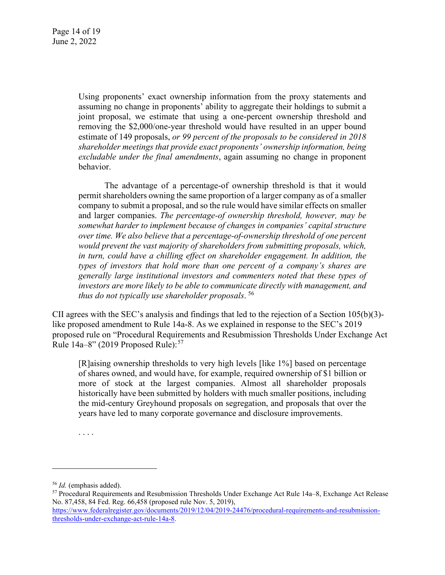Using proponents' exact ownership information from the proxy statements and assuming no change in proponents' ability to aggregate their holdings to submit a joint proposal, we estimate that using a one-percent ownership threshold and removing the \$2,000/one-year threshold would have resulted in an upper bound estimate of 149 proposals, *or 99 percent of the proposals to be considered in 2018 shareholder meetings that provide exact proponents' ownership information, being excludable under the final amendments*, again assuming no change in proponent behavior.

The advantage of a percentage-of ownership threshold is that it would permit shareholders owning the same proportion of a larger company as of a smaller company to submit a proposal, and so the rule would have similar effects on smaller and larger companies. *The percentage-of ownership threshold, however, may be somewhat harder to implement because of changes in companies' capital structure over time. We also believe that a percentage-of-ownership threshold of one percent would prevent the vast majority of shareholders from submitting proposals, which, in turn, could have a chilling effect on shareholder engagement. In addition, the types of investors that hold more than one percent of a company's shares are generally large institutional investors and commenters noted that these types of investors are more likely to be able to communicate directly with management, and thus do not typically use shareholder proposals*. [56](#page-13-0)

CII agrees with the SEC's analysis and findings that led to the rejection of a Section 105(b)(3) like proposed amendment to Rule 14a-8. As we explained in response to the SEC's 2019 proposed rule on "Procedural Requirements and Resubmission Thresholds Under Exchange Act Rule 14a–8" (2019 Proposed Rule): [57](#page-13-1)

[R]aising ownership thresholds to very high levels [like 1%] based on percentage of shares owned, and would have, for example, required ownership of \$1 billion or more of stock at the largest companies. Almost all shareholder proposals historically have been submitted by holders with much smaller positions, including the mid-century Greyhound proposals on segregation, and proposals that over the years have led to many corporate governance and disclosure improvements.

. . . .

<span id="page-13-0"></span><sup>56</sup> *Id.* (emphasis added).

<span id="page-13-1"></span><sup>57</sup> Procedural Requirements and Resubmission Thresholds Under Exchange Act Rule 14a–8, Exchange Act Release No. 87,458, 84 Fed. Reg. 66,458 (proposed rule Nov. 5, 2019), [https://www.federalregister.gov/documents/2019/12/04/2019-24476/procedural-requirements-and-resubmission](https://www.federalregister.gov/documents/2019/12/04/2019-24476/procedural-requirements-and-resubmission-thresholds-under-exchange-act-rule-14a-8)[thresholds-under-exchange-act-rule-14a-8.](https://www.federalregister.gov/documents/2019/12/04/2019-24476/procedural-requirements-and-resubmission-thresholds-under-exchange-act-rule-14a-8)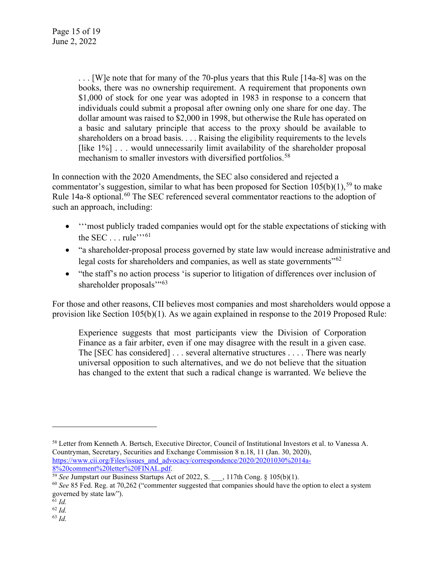. . . [W]e note that for many of the 70-plus years that this Rule [14a-8] was on the books, there was no ownership requirement. A requirement that proponents own \$1,000 of stock for one year was adopted in 1983 in response to a concern that individuals could submit a proposal after owning only one share for one day. The dollar amount was raised to \$2,000 in 1998, but otherwise the Rule has operated on a basic and salutary principle that access to the proxy should be available to shareholders on a broad basis. . . . Raising the eligibility requirements to the levels [like 1%] . . . would unnecessarily limit availability of the shareholder proposal mechanism to smaller investors with diversified portfolios.<sup>[58](#page-14-0)</sup>

In connection with the 2020 Amendments, the SEC also considered and rejected a commentator's suggestion, similar to what has been proposed for Section  $105(b)(1)$ ,<sup>[59](#page-14-1)</sup> to make Rule 14a-8 optional.<sup>[60](#page-14-2)</sup> The SEC referenced several commentator reactions to the adoption of such an approach, including:

- '''most publicly traded companies would opt for the stable expectations of sticking with the SEC  $\dots$  rule"<sup>\*\*\*[61](#page-14-3)</sup>
- "a shareholder-proposal process governed by state law would increase administrative and legal costs for shareholders and companies, as well as state governments<sup>"[62](#page-14-4)</sup>
- "the staff's no action process 'is superior to litigation of differences over inclusion of shareholder proposals"<sup>53</sup>

For those and other reasons, CII believes most companies and most shareholders would oppose a provision like Section 105(b)(1). As we again explained in response to the 2019 Proposed Rule:

Experience suggests that most participants view the Division of Corporation Finance as a fair arbiter, even if one may disagree with the result in a given case. The [SEC has considered] . . . several alternative structures . . . . There was nearly universal opposition to such alternatives, and we do not believe that the situation has changed to the extent that such a radical change is warranted. We believe the

<span id="page-14-0"></span><sup>58</sup> Letter from Kenneth A. Bertsch, Executive Director, Council of Institutional Investors et al. to Vanessa A. Countryman, Secretary, Securities and Exchange Commission 8 n.18, 11 (Jan. 30, 2020), [https://www.cii.org/Files/issues\\_and\\_advocacy/correspondence/2020/20201030%2014a-](https://www.cii.org/Files/issues_and_advocacy/correspondence/2020/20201030%2014a-8%20comment%20letter%20FINAL.pdf)[8%20comment%20letter%20FINAL.pdf.](https://www.cii.org/Files/issues_and_advocacy/correspondence/2020/20201030%2014a-8%20comment%20letter%20FINAL.pdf)

<span id="page-14-1"></span><sup>59</sup> *See* Jumpstart our Business Startups Act of 2022, S. \_\_\_, 117th Cong. § 105(b)(1).

<span id="page-14-2"></span><sup>60</sup> *See* 85 Fed. Reg. at 70,262 ("commenter suggested that companies should have the option to elect a system governed by state law").

<span id="page-14-3"></span> $61$  *Id.* 

<span id="page-14-5"></span><span id="page-14-4"></span><sup>62</sup> *Id.*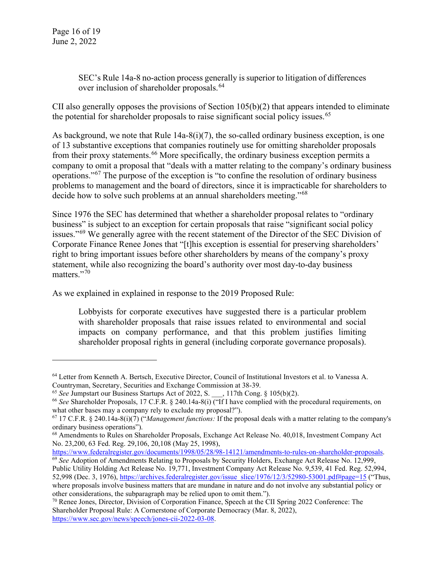Page 16 of 19 June 2, 2022

> SEC's Rule 14a-8 no-action process generally is superior to litigation of differences over inclusion of shareholder proposals.<sup>[64](#page-15-0)</sup>

CII also generally opposes the provisions of Section 105(b)(2) that appears intended to eliminate the potential for shareholder proposals to raise significant social policy issues. [65](#page-15-1) 

As background, we note that Rule  $14a-8(i)(7)$ , the so-called ordinary business exception, is one of 13 substantive exceptions that companies routinely use for omitting shareholder proposals from their proxy statements.<sup>[66](#page-15-2)</sup> More specifically, the ordinary business exception permits a company to omit a proposal that "deals with a matter relating to the company's ordinary business operations."[67](#page-15-3) The purpose of the exception is "to confine the resolution of ordinary business problems to management and the board of directors, since it is impracticable for shareholders to decide how to solve such problems at an annual shareholders meeting."<sup>[68](#page-15-4)</sup>

Since 1976 the SEC has determined that whether a shareholder proposal relates to "ordinary business" is subject to an exception for certain proposals that raise "significant social policy issues."<sup>[69](#page-15-5)</sup> We generally agree with the recent statement of the Director of the SEC Division of Corporate Finance Renee Jones that "[t]his exception is essential for preserving shareholders' right to bring important issues before other shareholders by means of the company's proxy statement, while also recognizing the board's authority over most day-to-day business matters."<sup>[70](#page-15-6)</sup>

As we explained in explained in response to the 2019 Proposed Rule:

Lobbyists for corporate executives have suggested there is a particular problem with shareholder proposals that raise issues related to environmental and social impacts on company performance, and that this problem justifies limiting shareholder proposal rights in general (including corporate governance proposals).

<span id="page-15-0"></span><sup>64</sup> Letter from Kenneth A. Bertsch, Executive Director, Council of Institutional Investors et al. to Vanessa A. Countryman, Secretary, Securities and Exchange Commission at 38-39.

<sup>65</sup> *See* Jumpstart our Business Startups Act of 2022, S. \_\_\_, 117th Cong. § 105(b)(2).

<span id="page-15-2"></span><span id="page-15-1"></span><sup>66</sup> *See* Shareholder Proposals, 17 C.F.R. § 240.14a-8(i) ("If I have complied with the procedural requirements, on what other bases may a company rely to exclude my proposal?").

<span id="page-15-3"></span><sup>67</sup> 17 C.F.R. § 240.14a-8(i)(7) ("*Management functions:* If the proposal deals with a matter relating to the company's ordinary business operations").

<span id="page-15-4"></span><sup>68</sup> Amendments to Rules on Shareholder Proposals, Exchange Act Release No. 40,018, Investment Company Act No. 23,200, 63 Fed. Reg. 29,106, 20,108 (May 25, 1998),

[https://www.federalregister.gov/documents/1998/05/28/98-14121/amendments-to-rules-on-shareholder-proposals.](https://www.federalregister.gov/documents/1998/05/28/98-14121/amendments-to-rules-on-shareholder-proposals) <sup>69</sup> *See* Adoption of Amendments Relating to Proposals by Security Holders, Exchange Act Release No. 12,999,

<span id="page-15-5"></span>Public Utility Holding Act Release No. 19,771, Investment Company Act Release No. 9,539, 41 Fed. Reg. 52,994, 52,998 (Dec. 3, 1976), [https://archives.federalregister.gov/issue\\_slice/1976/12/3/52980-53001.pdf#page=15](https://archives.federalregister.gov/issue_slice/1976/12/3/52980-53001.pdf#page=15) ("Thus, where proposals involve business matters that are mundane in nature and do not involve any substantial policy or other considerations, the subparagraph may be relied upon to omit them.").

<span id="page-15-6"></span><sup>70</sup> Renee Jones, Director, Division of Corporation Finance, Speech at the CII Spring 2022 Conference: The Shareholder Proposal Rule: A Cornerstone of Corporate Democracy (Mar. 8, 2022), [https://www.sec.gov/news/speech/jones-cii-2022-03-08.](https://www.sec.gov/news/speech/jones-cii-2022-03-08)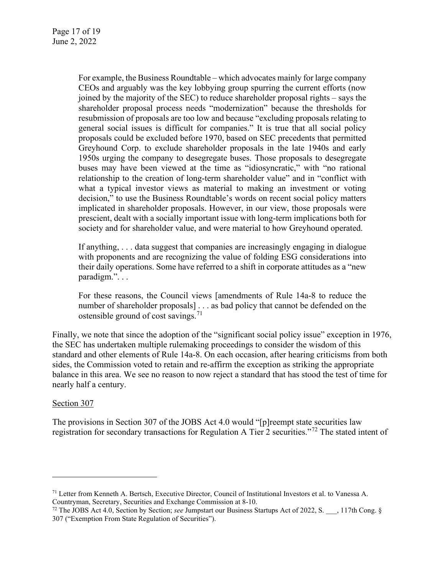For example, the Business Roundtable – which advocates mainly for large company CEOs and arguably was the key lobbying group spurring the current efforts (now joined by the majority of the SEC) to reduce shareholder proposal rights – says the shareholder proposal process needs "modernization" because the thresholds for resubmission of proposals are too low and because "excluding proposals relating to general social issues is difficult for companies." It is true that all social policy proposals could be excluded before 1970, based on SEC precedents that permitted Greyhound Corp. to exclude shareholder proposals in the late 1940s and early 1950s urging the company to desegregate buses. Those proposals to desegregate buses may have been viewed at the time as "idiosyncratic," with "no rational relationship to the creation of long-term shareholder value" and in "conflict with what a typical investor views as material to making an investment or voting decision," to use the Business Roundtable's words on recent social policy matters implicated in shareholder proposals. However, in our view, those proposals were prescient, dealt with a socially important issue with long-term implications both for society and for shareholder value, and were material to how Greyhound operated.

If anything, . . . data suggest that companies are increasingly engaging in dialogue with proponents and are recognizing the value of folding ESG considerations into their daily operations. Some have referred to a shift in corporate attitudes as a "new paradigm.". . .

For these reasons, the Council views [amendments of Rule 14a-8 to reduce the number of shareholder proposals] . . . as bad policy that cannot be defended on the ostensible ground of cost savings.<sup>[71](#page-16-0)</sup>

Finally, we note that since the adoption of the "significant social policy issue" exception in 1976, the SEC has undertaken multiple rulemaking proceedings to consider the wisdom of this standard and other elements of Rule 14a-8. On each occasion, after hearing criticisms from both sides, the Commission voted to retain and re-affirm the exception as striking the appropriate balance in this area. We see no reason to now reject a standard that has stood the test of time for nearly half a century.

#### Section 307

The provisions in Section 307 of the JOBS Act 4.0 would "[p]reempt state securities law registration for secondary transactions for Regulation A Tier 2 securities."[72](#page-16-1) The stated intent of

<span id="page-16-0"></span><sup>71</sup> Letter from Kenneth A. Bertsch, Executive Director, Council of Institutional Investors et al. to Vanessa A. Countryman, Secretary, Securities and Exchange Commission at 8-10.

<span id="page-16-1"></span><sup>72</sup> The JOBS Act 4.0, Section by Section; *see* Jumpstart our Business Startups Act of 2022, S. \_\_\_, 117th Cong. § 307 ("Exemption From State Regulation of Securities").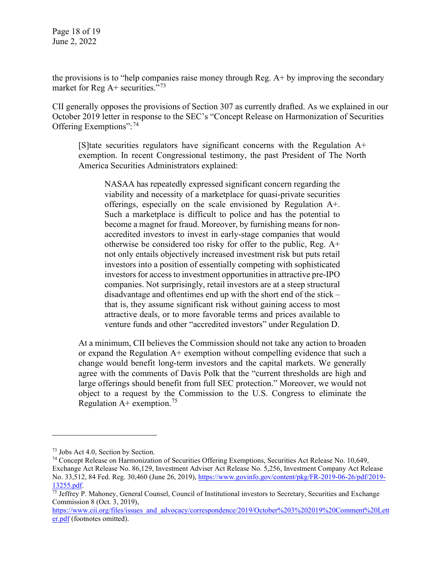Page 18 of 19 June 2, 2022

the provisions is to "help companies raise money through Reg. A+ by improving the secondary market for Reg  $A+$  securities."<sup>[73](#page-17-0)</sup>

CII generally opposes the provisions of Section 307 as currently drafted. As we explained in our October 2019 letter in response to the SEC's "Concept Release on Harmonization of Securities Offering Exemptions":<sup>[74](#page-17-1)</sup>

[S]tate securities regulators have significant concerns with the Regulation A+ exemption. In recent Congressional testimony, the past President of The North America Securities Administrators explained:

NASAA has repeatedly expressed significant concern regarding the viability and necessity of a marketplace for quasi-private securities offerings, especially on the scale envisioned by Regulation A+. Such a marketplace is difficult to police and has the potential to become a magnet for fraud. Moreover, by furnishing means for nonaccredited investors to invest in early-stage companies that would otherwise be considered too risky for offer to the public, Reg. A+ not only entails objectively increased investment risk but puts retail investors into a position of essentially competing with sophisticated investors for access to investment opportunities in attractive pre-IPO companies. Not surprisingly, retail investors are at a steep structural disadvantage and oftentimes end up with the short end of the stick – that is, they assume significant risk without gaining access to most attractive deals, or to more favorable terms and prices available to venture funds and other "accredited investors" under Regulation D.

At a minimum, CII believes the Commission should not take any action to broaden or expand the Regulation  $A<sup>+</sup>$  exemption without compelling evidence that such a change would benefit long-term investors and the capital markets. We generally agree with the comments of Davis Polk that the "current thresholds are high and large offerings should benefit from full SEC protection." Moreover, we would not object to a request by the Commission to the U.S. Congress to eliminate the Regulation  $A+$  exemption.<sup>[75](#page-17-2)</sup>

[https://www.cii.org/files/issues\\_and\\_advocacy/correspondence/2019/October%203%202019%20Comment%20Lett](https://www.cii.org/files/issues_and_advocacy/correspondence/2019/October%203%202019%20Comment%20Letter.pdf) [er.pdf](https://www.cii.org/files/issues_and_advocacy/correspondence/2019/October%203%202019%20Comment%20Letter.pdf) (footnotes omitted).

<span id="page-17-0"></span><sup>73</sup> Jobs Act 4.0, Section by Section.

<span id="page-17-1"></span><sup>&</sup>lt;sup>74</sup> Concept Release on Harmonization of Securities Offering Exemptions, Securities Act Release No. 10,649, Exchange Act Release No. 86,129, Investment Adviser Act Release No. 5,256, Investment Company Act Release No. 33,512, 84 Fed. Reg. 30,460 (June 26, 2019), [https://www.govinfo.gov/content/pkg/FR-2019-06-26/pdf/2019-](https://www.govinfo.gov/content/pkg/FR-2019-06-26/pdf/2019-13255.pdf) [13255.pdf.](https://www.govinfo.gov/content/pkg/FR-2019-06-26/pdf/2019-13255.pdf)<br><sup>75</sup> Jeffrey P. Mahoney, General Counsel, Council of Institutional investors to Secretary, Securities and Exchange

<span id="page-17-2"></span>Commission 8 (Oct. 3, 2019),